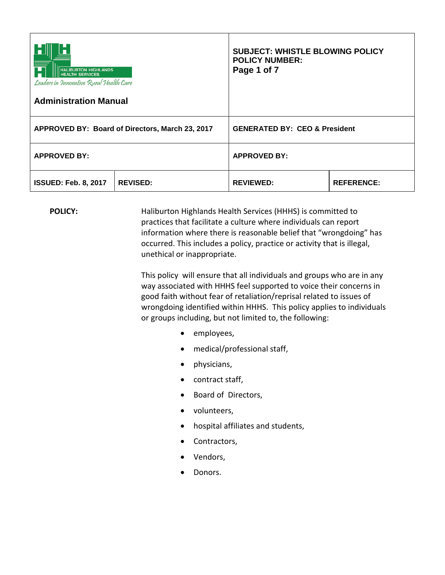| <b>HALIBURTON HIGHLANDS</b><br><b>HEALTH SERVICES</b><br>Leaders in Innovative Rural Health Care<br><b>Administration Manual</b> |                 | <b>SUBJECT: WHISTLE BLOWING POLICY</b><br><b>POLICY NUMBER:</b><br>Page 1 of 7 |                   |
|----------------------------------------------------------------------------------------------------------------------------------|-----------------|--------------------------------------------------------------------------------|-------------------|
| APPROVED BY: Board of Directors, March 23, 2017                                                                                  |                 | <b>GENERATED BY: CEO &amp; President</b>                                       |                   |
| <b>APPROVED BY:</b>                                                                                                              |                 | <b>APPROVED BY:</b>                                                            |                   |
| <b>ISSUED: Feb. 8, 2017</b>                                                                                                      | <b>REVISED:</b> | <b>REVIEWED:</b>                                                               | <b>REFERENCE:</b> |

**POLICY:** Haliburton Highlands Health Services (HHHS) is committed to practices that facilitate a culture where individuals can report information where there is reasonable belief that "wrongdoing" has occurred. This includes a policy, practice or activity that is illegal, unethical or inappropriate.

> This policy will ensure that all individuals and groups who are in any way associated with HHHS feel supported to voice their concerns in good faith without fear of retaliation/reprisal related to issues of wrongdoing identified within HHHS. This policy applies to individuals or groups including, but not limited to, the following:

- employees,
- medical/professional staff,
- physicians,
- contract staff,
- Board of Directors,
- volunteers,
- hospital affiliates and students,
- Contractors,
- Vendors,
- Donors.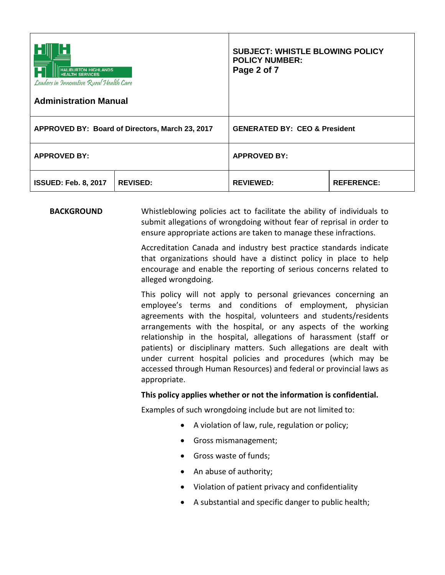| <b>HALIBURTON HIGHLANDS</b><br><b>ALTH SERVICES</b><br>Leaders in Innovative Rural Health Care<br><b>Administration Manual</b> |                 | <b>SUBJECT: WHISTLE BLOWING POLICY</b><br><b>POLICY NUMBER:</b><br>Page 2 of 7 |                   |
|--------------------------------------------------------------------------------------------------------------------------------|-----------------|--------------------------------------------------------------------------------|-------------------|
| APPROVED BY: Board of Directors, March 23, 2017                                                                                |                 | <b>GENERATED BY: CEO &amp; President</b>                                       |                   |
| <b>APPROVED BY:</b>                                                                                                            |                 | <b>APPROVED BY:</b>                                                            |                   |
| <b>ISSUED: Feb. 8, 2017</b>                                                                                                    | <b>REVISED:</b> | <b>REVIEWED:</b>                                                               | <b>REFERENCE:</b> |

## **BACKGROUND** Whistleblowing policies act to facilitate the ability of individuals to submit allegations of wrongdoing without fear of reprisal in order to ensure appropriate actions are taken to manage these infractions.

Accreditation Canada and industry best practice standards indicate that organizations should have a distinct policy in place to help encourage and enable the reporting of serious concerns related to alleged wrongdoing.

This policy will not apply to personal grievances concerning an employee's terms and conditions of employment, physician agreements with the hospital, volunteers and students/residents arrangements with the hospital, or any aspects of the working relationship in the hospital, allegations of harassment (staff or patients) or disciplinary matters. Such allegations are dealt with under current hospital policies and procedures (which may be accessed through Human Resources) and federal or provincial laws as appropriate.

## **This policy applies whether or not the information is confidential.**

Examples of such wrongdoing include but are not limited to:

- A violation of law, rule, regulation or policy;
- Gross mismanagement;
- Gross waste of funds;
- An abuse of authority;
- Violation of patient privacy and confidentiality
- A substantial and specific danger to public health;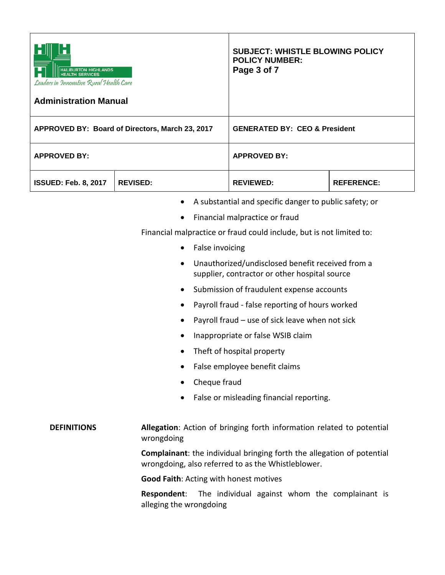| HALIBURTON HIGHLANDS<br>HEALTH SERVICES<br>Leaders in Innovative Rural Health Care<br><b>Administration Manual</b> |                                                                                                                    | <b>SUBJECT: WHISTLE BLOWING POLICY</b><br><b>POLICY NUMBER:</b><br>Page 3 of 7                                                                                                                                                                                                                                                                                                                                                                                                                                                                                           |                   |
|--------------------------------------------------------------------------------------------------------------------|--------------------------------------------------------------------------------------------------------------------|--------------------------------------------------------------------------------------------------------------------------------------------------------------------------------------------------------------------------------------------------------------------------------------------------------------------------------------------------------------------------------------------------------------------------------------------------------------------------------------------------------------------------------------------------------------------------|-------------------|
|                                                                                                                    | APPROVED BY: Board of Directors, March 23, 2017                                                                    | <b>GENERATED BY: CEO &amp; President</b>                                                                                                                                                                                                                                                                                                                                                                                                                                                                                                                                 |                   |
| <b>APPROVED BY:</b>                                                                                                |                                                                                                                    | <b>APPROVED BY:</b>                                                                                                                                                                                                                                                                                                                                                                                                                                                                                                                                                      |                   |
| <b>ISSUED: Feb. 8, 2017</b>                                                                                        | <b>REVISED:</b>                                                                                                    | <b>REVIEWED:</b>                                                                                                                                                                                                                                                                                                                                                                                                                                                                                                                                                         | <b>REFERENCE:</b> |
|                                                                                                                    | $\bullet$<br>$\bullet$<br>False invoicing<br>$\bullet$<br>$\bullet$<br>٠<br>$\bullet$<br>$\bullet$<br>Cheque fraud | A substantial and specific danger to public safety; or<br>Financial malpractice or fraud<br>Financial malpractice or fraud could include, but is not limited to:<br>Unauthorized/undisclosed benefit received from a<br>supplier, contractor or other hospital source<br>Submission of fraudulent expense accounts<br>Payroll fraud - false reporting of hours worked<br>Payroll fraud - use of sick leave when not sick<br>Inappropriate or false WSIB claim<br>Theft of hospital property<br>False employee benefit claims<br>False or misleading financial reporting. |                   |
| <b>DEFINITIONS</b>                                                                                                 | wrongdoing<br><b>Good Faith: Acting with honest motives</b><br>Respondent:<br>alleging the wrongdoing              | Allegation: Action of bringing forth information related to potential<br>Complainant: the individual bringing forth the allegation of potential<br>wrongdoing, also referred to as the Whistleblower.<br>The individual against whom the complainant is                                                                                                                                                                                                                                                                                                                  |                   |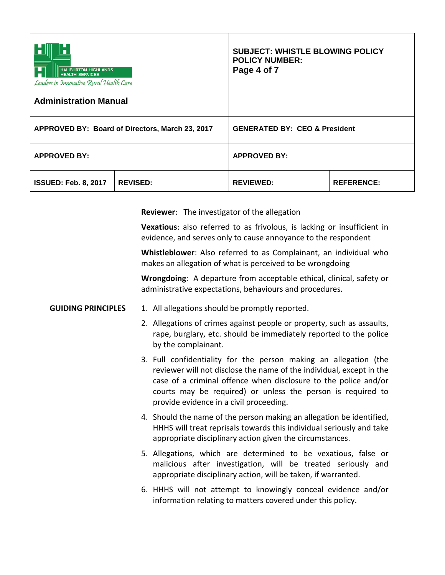| <b>HALIBURTON HIGHLANDS</b><br><b>HEALTH SERVICES</b><br>Leaders in Innovative Rural Health Care<br><b>Administration Manual</b> |                 | <b>SUBJECT: WHISTLE BLOWING POLICY</b><br><b>POLICY NUMBER:</b><br>Page 4 of 7 |                   |
|----------------------------------------------------------------------------------------------------------------------------------|-----------------|--------------------------------------------------------------------------------|-------------------|
| APPROVED BY: Board of Directors, March 23, 2017                                                                                  |                 | <b>GENERATED BY: CEO &amp; President</b>                                       |                   |
| <b>APPROVED BY:</b>                                                                                                              |                 | <b>APPROVED BY:</b>                                                            |                   |
| <b>ISSUED: Feb. 8, 2017</b>                                                                                                      | <b>REVISED:</b> | <b>REVIEWED:</b>                                                               | <b>REFERENCE:</b> |

**Reviewer**: The investigator of the allegation

**Vexatious**: also referred to as frivolous, is lacking or insufficient in evidence, and serves only to cause annoyance to the respondent

**Whistleblower**: Also referred to as Complainant, an individual who makes an allegation of what is perceived to be wrongdoing

**Wrongdoing:** A departure from acceptable ethical, clinical, safety or administrative expectations, behaviours and procedures.

- **GUIDING PRINCIPLES** 1. All allegations should be promptly reported.
	- 2. Allegations of crimes against people or property, such as assaults, rape, burglary, etc. should be immediately reported to the police by the complainant.
	- 3. Full confidentiality for the person making an allegation (the reviewer will not disclose the name of the individual, except in the case of a criminal offence when disclosure to the police and/or courts may be required) or unless the person is required to provide evidence in a civil proceeding.
	- 4. Should the name of the person making an allegation be identified, HHHS will treat reprisals towards this individual seriously and take appropriate disciplinary action given the circumstances.
	- 5. Allegations, which are determined to be vexatious, false or malicious after investigation, will be treated seriously and appropriate disciplinary action, will be taken, if warranted.
	- 6. HHHS will not attempt to knowingly conceal evidence and/or information relating to matters covered under this policy.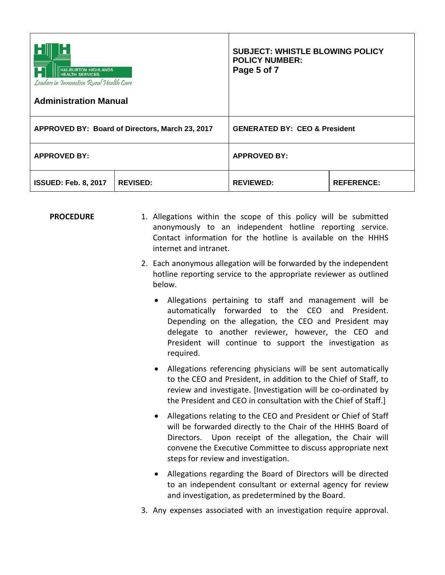| <b>HALIBURTON HIGHLANDS</b><br><b>HEALTH SERVICES</b><br>Leaders in Innovative Rural Health Care<br><b>Administration Manual</b> |                 | <b>SUBJECT: WHISTLE BLOWING POLICY</b><br><b>POLICY NUMBER:</b><br>Page 5 of 7 |                   |
|----------------------------------------------------------------------------------------------------------------------------------|-----------------|--------------------------------------------------------------------------------|-------------------|
| APPROVED BY: Board of Directors, March 23, 2017                                                                                  |                 | <b>GENERATED BY: CEO &amp; President</b>                                       |                   |
| <b>APPROVED BY:</b>                                                                                                              |                 | <b>APPROVED BY:</b>                                                            |                   |
| <b>ISSUED: Feb. 8, 2017</b>                                                                                                      | <b>REVISED:</b> | <b>REVIEWED:</b>                                                               | <b>REFERENCE:</b> |

**PROCEDURE** 1. Allegations within the scope of this policy will be submitted anonymously to an independent hotline reporting service. Contact information for the hotline is available on the HHHS internet and intranet.

- 2. Each anonymous allegation will be forwarded by the independent hotline reporting service to the appropriate reviewer as outlined below.
	- Allegations pertaining to staff and management will be automatically forwarded to the CEO and President. Depending on the allegation, the CEO and President may delegate to another reviewer, however, the CEO and President will continue to support the investigation as required.
	- Allegations referencing physicians will be sent automatically to the CEO and President, in addition to the Chief of Staff, to review and investigate. [Investigation will be co-ordinated by the President and CEO in consultation with the Chief of Staff.]
	- Allegations relating to the CEO and President or Chief of Staff will be forwarded directly to the Chair of the HHHS Board of Directors. Upon receipt of the allegation, the Chair will convene the Executive Committee to discuss appropriate next steps for review and investigation.
	- Allegations regarding the Board of Directors will be directed to an independent consultant or external agency for review and investigation, as predetermined by the Board.
- 3. Any expenses associated with an investigation require approval.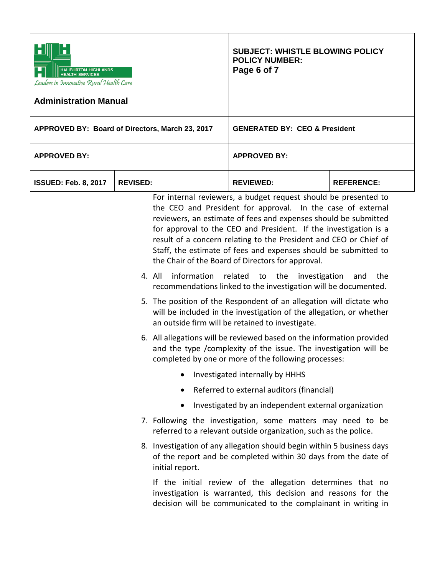| <b>IBURTON HIGHLANDS</b><br><b>HEALTH SERVICES</b><br>Leaders in Innovative Rural Health Care<br><b>Administration Manual</b> |                 | <b>SUBJECT: WHISTLE BLOWING POLICY</b><br><b>POLICY NUMBER:</b><br>Page 6 of 7 |                                                                                                                                                                                                                                                                                                                                                                                                                                                                                                                                                                                                                                                                                                                                                                                                                                                                                                                                                                                                                                                                                                                                                                                                                                                                   |                   |
|-------------------------------------------------------------------------------------------------------------------------------|-----------------|--------------------------------------------------------------------------------|-------------------------------------------------------------------------------------------------------------------------------------------------------------------------------------------------------------------------------------------------------------------------------------------------------------------------------------------------------------------------------------------------------------------------------------------------------------------------------------------------------------------------------------------------------------------------------------------------------------------------------------------------------------------------------------------------------------------------------------------------------------------------------------------------------------------------------------------------------------------------------------------------------------------------------------------------------------------------------------------------------------------------------------------------------------------------------------------------------------------------------------------------------------------------------------------------------------------------------------------------------------------|-------------------|
| APPROVED BY: Board of Directors, March 23, 2017                                                                               |                 |                                                                                | <b>GENERATED BY: CEO &amp; President</b>                                                                                                                                                                                                                                                                                                                                                                                                                                                                                                                                                                                                                                                                                                                                                                                                                                                                                                                                                                                                                                                                                                                                                                                                                          |                   |
| <b>APPROVED BY:</b>                                                                                                           |                 |                                                                                | <b>APPROVED BY:</b>                                                                                                                                                                                                                                                                                                                                                                                                                                                                                                                                                                                                                                                                                                                                                                                                                                                                                                                                                                                                                                                                                                                                                                                                                                               |                   |
| <b>ISSUED: Feb. 8, 2017</b>                                                                                                   | <b>REVISED:</b> |                                                                                | <b>REVIEWED:</b>                                                                                                                                                                                                                                                                                                                                                                                                                                                                                                                                                                                                                                                                                                                                                                                                                                                                                                                                                                                                                                                                                                                                                                                                                                                  | <b>REFERENCE:</b> |
|                                                                                                                               |                 | information<br>4. All<br>$\bullet$<br>$\bullet$                                | For internal reviewers, a budget request should be presented to<br>the CEO and President for approval. In the case of external<br>reviewers, an estimate of fees and expenses should be submitted<br>for approval to the CEO and President. If the investigation is a<br>result of a concern relating to the President and CEO or Chief of<br>Staff, the estimate of fees and expenses should be submitted to<br>the Chair of the Board of Directors for approval.<br>related<br>the<br>to<br>investigation<br>recommendations linked to the investigation will be documented.<br>5. The position of the Respondent of an allegation will dictate who<br>will be included in the investigation of the allegation, or whether<br>an outside firm will be retained to investigate.<br>6. All allegations will be reviewed based on the information provided<br>and the type / complexity of the issue. The investigation will be<br>completed by one or more of the following processes:<br>Investigated internally by HHHS<br>Referred to external auditors (financial)<br>Investigated by an independent external organization<br>7. Following the investigation, some matters may need to be<br>referred to a relevant outside organization, such as the police. | the<br>and        |
|                                                                                                                               |                 | initial report.                                                                | 8. Investigation of any allegation should begin within 5 business days<br>of the report and be completed within 30 days from the date of                                                                                                                                                                                                                                                                                                                                                                                                                                                                                                                                                                                                                                                                                                                                                                                                                                                                                                                                                                                                                                                                                                                          |                   |
|                                                                                                                               |                 |                                                                                | If the initial review of the allegation determines that no<br>investigation is warranted, this decision and reasons for the<br>decision will be communicated to the complainant in writing in                                                                                                                                                                                                                                                                                                                                                                                                                                                                                                                                                                                                                                                                                                                                                                                                                                                                                                                                                                                                                                                                     |                   |